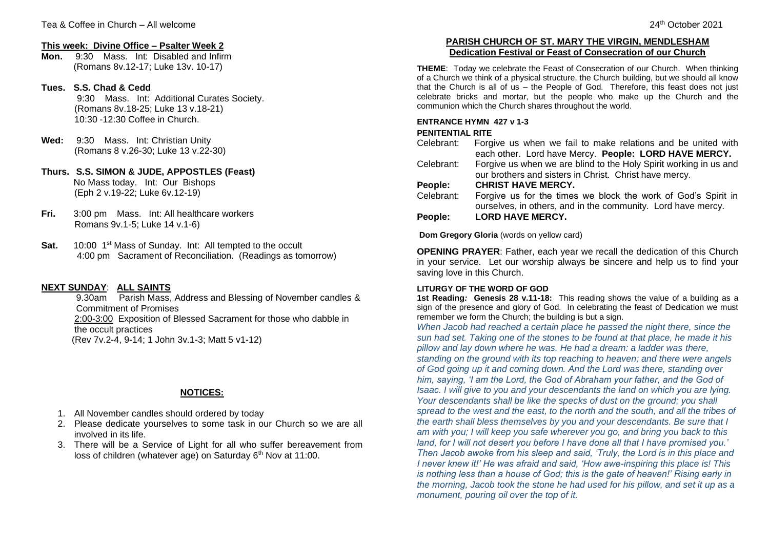### **This week: Divine Office – Psalter Week 2**

**Mon.** 9:30 Mass. Int: Disabled and Infirm (Romans 8v.12-17; Luke 13v. 10-17)

## **Tues. S.S. Chad & Cedd**

9:30 Mass. Int: Additional Curates Society. (Romans 8v.18-25; Luke 13 v.18-21) 10:30 -12:30 Coffee in Church.

- **Wed:** 9:30 Mass. Int: Christian Unity (Romans 8 v.26-30; Luke 13 v.22-30)
- **Thurs. S.S. SIMON & JUDE, APPOSTLES (Feast)** No Mass today. Int: Our Bishops (Eph 2 v.19-22; Luke 6v.12-19)
- **Fri.** 3:00 pm Mass. Int: All healthcare workers Romans 9v.1-5; Luke 14 v.1-6)
- **Sat.** 10:00 1<sup>st</sup> Mass of Sunday. Int: All tempted to the occult 4:00 pm Sacrament of Reconciliation. (Readings as tomorrow)

## **NEXT SUNDAY**: **ALL SAINTS**

9.30am Parish Mass, Address and Blessing of November candles & Commitment of Promises 2:00-3:00 Exposition of Blessed Sacrament for those who dabble in the occult practices (Rev 7v.2-4, 9-14; 1 John 3v.1-3; Matt 5 v1-12)

# **NOTICES:**

- 1. All November candles should ordered by today
- 2. Please dedicate yourselves to some task in our Church so we are all involved in its life.
- 3. There will be a Service of Light for all who suffer bereavement from loss of children (whatever age) on Saturday  $6<sup>th</sup>$  Nov at 11:00.

# **PARISH CHURCH OF ST. MARY THE VIRGIN, MENDLESHAM Dedication Festival or Feast of Consecration of our Church**

**THEME**: Today we celebrate the Feast of Consecration of our Church. When thinking of a Church we think of a physical structure, the Church building, but we should all know that the Church is all of us  $-$  the People of God. Therefore, this feast does not just celebrate bricks and mortar, but the people who make up the Church and the communion which the Church shares throughout the world.

# **ENTRANCE HYMN 427 v 1-3**

## **PENITENTIAL RITE**

- Celebrant: Forgive us when we fail to make relations and be united with each other. Lord have Mercy. **People: LORD HAVE MERCY.**
- Celebrant: Forgive us when we are blind to the Holy Spirit working in us and our brothers and sisters in Christ. Christ have mercy.

# **People: CHRIST HAVE MERCY.**

Celebrant: Forgive us for the times we block the work of God's Spirit in ourselves, in others, and in the community. Lord have mercy. **People: LORD HAVE MERCY.**

**Dom Gregory Gloria** (words on yellow card)

**OPENING PRAYER**: Father, each year we recall the dedication of this Church in your service. Let our worship always be sincere and help us to find your saving love in this Church.

### **LITURGY OF THE WORD OF GOD**

**1st Reading***:* **Genesis 28 v.11-18:** This reading shows the value of a building as a sign of the presence and glory of God. In celebrating the feast of Dedication we must remember we form the Church; the building is but a sign.

*When Jacob had reached a certain place he passed the night there, since the sun had set. Taking one of the stones to be found at that place, he made it his pillow and lay down where he was. He had a dream: a ladder was there, standing on the ground with its top reaching to heaven; and there were angels of God going up it and coming down. And the Lord was there, standing over him, saying, 'I am the Lord, the God of Abraham your father, and the God of Isaac. I will give to you and your descendants the land on which you are lying. Your descendants shall be like the specks of dust on the ground; you shall spread to the west and the east, to the north and the south, and all the tribes of the earth shall bless themselves by you and your descendants. Be sure that I am with you; I will keep you safe wherever you go, and bring you back to this land, for I will not desert you before I have done all that I have promised you.' Then Jacob awoke from his sleep and said, 'Truly, the Lord is in this place and I never knew it!' He was afraid and said, 'How awe-inspiring this place is! This is nothing less than a house of God; this is the gate of heaven!' Rising early in the morning, Jacob took the stone he had used for his pillow, and set it up as a monument, pouring oil over the top of it.*